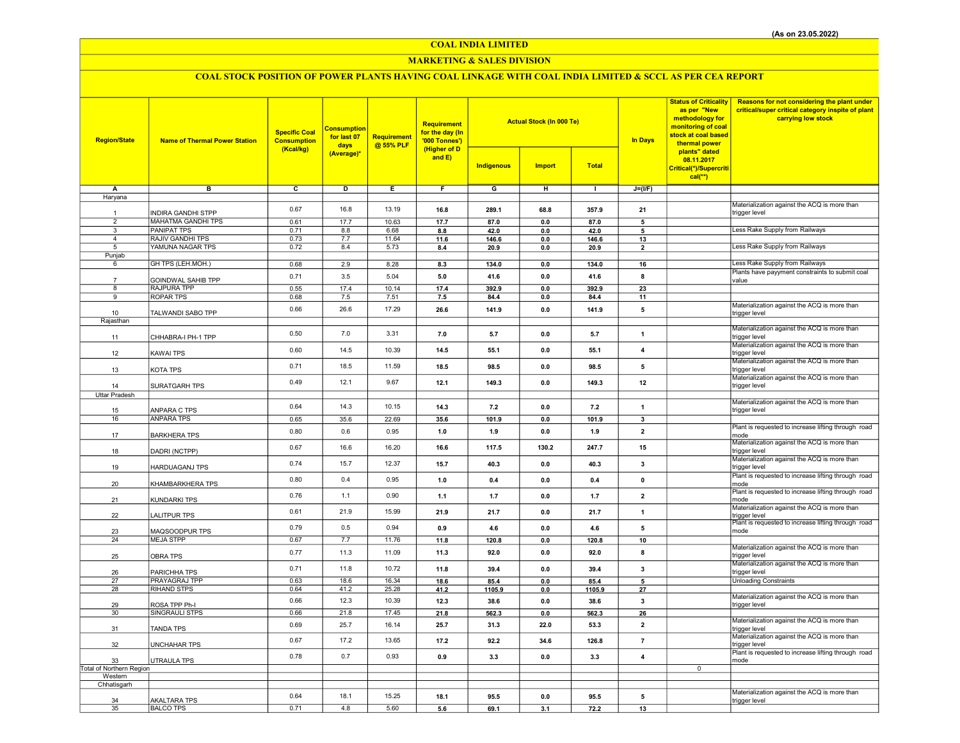COAL INDIA LIMITED

## MARKETING & SALES DIVISION

# COAL STOCK POSITION OF POWER PLANTS HAVING COAL LINKAGE WITH COAL INDIA LIMITED & SCCL AS PER CEA REPORT

| <b>Region/State</b>               | <b>Name of Thermal Power Station</b>        | <b>Specific Coal</b><br><b>Consumption</b><br>(Kcal/kg) | <b>Consumption</b><br>for last 07<br>days<br>(Average)* | <b>Requirement</b><br>@ 55% PLF | <b>Requirement</b><br>for the day (In<br>'000 Tonnes')<br>(Higher of D<br>and $E$ ) | <b>Actual Stock (In 000 Te)</b><br><b>Indigenous</b><br><b>Import</b><br><b>Total</b> |         |        | <b>In Days</b> | <b>Status of Criticality</b><br>as per "New<br>methodology for<br>monitoring of coal<br>stock at coal based<br>thermal power<br>plants" dated<br>08.11.2017 | Reasons for not considering the plant under<br>critical/super critical category inspite of plant<br>carrying low stock |
|-----------------------------------|---------------------------------------------|---------------------------------------------------------|---------------------------------------------------------|---------------------------------|-------------------------------------------------------------------------------------|---------------------------------------------------------------------------------------|---------|--------|----------------|-------------------------------------------------------------------------------------------------------------------------------------------------------------|------------------------------------------------------------------------------------------------------------------------|
|                                   |                                             |                                                         |                                                         |                                 |                                                                                     |                                                                                       |         |        |                | Critical(*)/Supercriti<br>$cal(**)$                                                                                                                         |                                                                                                                        |
| Α                                 | в                                           | $\overline{c}$                                          | D                                                       | Ε                               | F                                                                                   | G                                                                                     | H       | т      | $J=(VF)$       |                                                                                                                                                             |                                                                                                                        |
| Haryana                           |                                             |                                                         |                                                         |                                 |                                                                                     |                                                                                       |         |        |                |                                                                                                                                                             |                                                                                                                        |
|                                   |                                             |                                                         |                                                         |                                 |                                                                                     |                                                                                       |         |        |                |                                                                                                                                                             | Materialization against the ACQ is more than                                                                           |
|                                   | NDIRA GANDHI STPP                           | 0.67                                                    | 16.8                                                    | 13.19                           | 16.8                                                                                | 289.1                                                                                 | 68.8    | 357.9  | 21             |                                                                                                                                                             | trigger level                                                                                                          |
| $\overline{2}$                    | MAHATMA GANDHI TPS                          | 0.61                                                    | 17.7                                                    | 10.63                           | 17.7                                                                                | 87.0                                                                                  | 0.0     | 87.0   | 5              |                                                                                                                                                             |                                                                                                                        |
| 3                                 | PANIPAT TPS                                 | 0.71                                                    | 8.8                                                     | 6.68                            | 8.8                                                                                 | 42.0                                                                                  | 0.0     | 42.0   | 5              |                                                                                                                                                             | Less Rake Supply from Railways                                                                                         |
| $\overline{4}$<br>$5\overline{)}$ | <b>RAJIV GANDHI TPS</b><br>YAMUNA NAGAR TPS | 0.73<br>0.72                                            | 7.7<br>8.4                                              | 11.64<br>5.73                   | 11.6                                                                                | 146.6                                                                                 | 0.0     | 146.6  | 13             |                                                                                                                                                             | Less Rake Supply from Railways                                                                                         |
| Punjab                            |                                             |                                                         |                                                         |                                 | 8.4                                                                                 | 20.9                                                                                  | $0.0\,$ | 20.9   | $\mathbf{2}$   |                                                                                                                                                             |                                                                                                                        |
| 6                                 | GH TPS (LEH.MOH.)                           | 0.68                                                    | 2.9                                                     | 8.28                            | 8.3                                                                                 | 134.0                                                                                 | 0.0     | 134.0  | 16             |                                                                                                                                                             | Less Rake Supply from Railways                                                                                         |
|                                   |                                             | 0.71                                                    | 3.5                                                     | 5.04                            |                                                                                     |                                                                                       |         |        |                |                                                                                                                                                             | Plants have payyment constraints to submit coal                                                                        |
| 7                                 | GOINDWAL SAHIB TPP                          |                                                         |                                                         |                                 | 5.0                                                                                 | 41.6                                                                                  | $0.0\,$ | 41.6   | 8              |                                                                                                                                                             | value                                                                                                                  |
| 8                                 | RAJPURA TPP                                 | 0.55                                                    | 17.4                                                    | 10.14                           | 17.4                                                                                | 392.9                                                                                 | 0.0     | 392.9  | 23             |                                                                                                                                                             |                                                                                                                        |
| $\overline{9}$                    | <b>ROPAR TPS</b>                            | 0.68                                                    | 7.5                                                     | 7.51                            | 7.5                                                                                 | 84.4                                                                                  | $0.0\,$ | 84.4   | 11             |                                                                                                                                                             | Materialization against the ACQ is more than                                                                           |
| 10<br>Rajasthan                   | TALWANDI SABO TPP                           | 0.66                                                    | 26.6                                                    | 17.29                           | 26.6                                                                                | 141.9                                                                                 | 0.0     | 141.9  | 5              |                                                                                                                                                             | trigger level                                                                                                          |
|                                   |                                             | 0.50                                                    | 7.0                                                     | 3.31                            | 7.0                                                                                 | 5.7                                                                                   | 0.0     | 5.7    | $\mathbf{1}$   |                                                                                                                                                             | Materialization against the ACQ is more than                                                                           |
| 11                                | CHHABRA-I PH-1 TPP                          |                                                         |                                                         |                                 |                                                                                     |                                                                                       |         |        |                |                                                                                                                                                             | trigger level<br>Materialization against the ACQ is more than                                                          |
| 12                                | KAWAI TPS                                   | 0.60                                                    | 14.5                                                    | 10.39                           | 14.5                                                                                | 55.1                                                                                  | 0.0     | 55.1   | $\overline{4}$ |                                                                                                                                                             | trigger level<br>Materialization against the ACQ is more than                                                          |
| 13                                | KOTA TPS                                    | 0.71                                                    | 18.5                                                    | 11.59                           | 18.5                                                                                | 98.5                                                                                  | 0.0     | 98.5   | 5              |                                                                                                                                                             | trigger level<br>Materialization against the ACQ is more than                                                          |
| 14                                | SURATGARH TPS                               | 0.49                                                    | 12.1                                                    | 9.67                            | 12.1                                                                                | 149.3                                                                                 | 0.0     | 149.3  | 12             |                                                                                                                                                             | trigger level                                                                                                          |
| <b>Uttar Pradesh</b>              |                                             |                                                         |                                                         |                                 |                                                                                     |                                                                                       |         |        |                |                                                                                                                                                             |                                                                                                                        |
| 15                                | ANPARA C TPS                                | 0.64                                                    | 14.3                                                    | 10.15                           | 14.3                                                                                | 7.2                                                                                   | 0.0     | 7.2    | $\mathbf{1}$   |                                                                                                                                                             | Materialization against the ACQ is more than<br>trigger level                                                          |
| 16                                | <b>ANPARA TPS</b>                           | 0.65                                                    | 35.6                                                    | 22.69                           | 35.6                                                                                | 101.9                                                                                 | 0.0     | 101.9  | $\mathbf{3}$   |                                                                                                                                                             |                                                                                                                        |
|                                   |                                             |                                                         |                                                         |                                 |                                                                                     |                                                                                       |         |        |                |                                                                                                                                                             | Plant is requested to increase lifting through road                                                                    |
| 17                                | <b>BARKHERA TPS</b>                         | 0.80                                                    | 0.6                                                     | 0.95                            | 1.0                                                                                 | 1.9                                                                                   | 0.0     | 1.9    | $\overline{2}$ |                                                                                                                                                             | mode<br>Materialization against the ACQ is more than                                                                   |
| 18                                | DADRI (NCTPP)                               | 0.67                                                    | 16.6                                                    | 16.20                           | 16.6                                                                                | 117.5                                                                                 | 130.2   | 247.7  | 15             |                                                                                                                                                             | trigger level                                                                                                          |
| 19                                | HARDUAGANJ TPS                              | 0.74                                                    | 15.7                                                    | 12.37                           | 15.7                                                                                | 40.3                                                                                  | $0.0\,$ | 40.3   | $\mathbf{3}$   |                                                                                                                                                             | Materialization against the ACQ is more than<br>trigger level                                                          |
| 20                                | KHAMBARKHERA TPS                            | 0.80                                                    | 0.4                                                     | 0.95                            | 1.0                                                                                 | 0.4                                                                                   | 0.0     | 0.4    | $\mathbf{0}$   |                                                                                                                                                             | Plant is requested to increase lifting through road<br>mode                                                            |
| 21                                | KUNDARKI TPS                                | 0.76                                                    | 1.1                                                     | 0.90                            | 1.1                                                                                 | 1.7                                                                                   | 0.0     | 1.7    | $\overline{2}$ |                                                                                                                                                             | Plant is requested to increase lifting through road<br>mode                                                            |
|                                   |                                             | 0.61                                                    | 21.9                                                    | 15.99                           | 21.9                                                                                | 21.7                                                                                  | 0.0     | 21.7   | $\mathbf{1}$   |                                                                                                                                                             | Materialization against the ACQ is more than                                                                           |
| 22                                | ALITPUR TPS                                 |                                                         |                                                         |                                 |                                                                                     |                                                                                       |         |        |                |                                                                                                                                                             | trigger level<br>Plant is requested to increase lifting through road                                                   |
| 23                                | MAQSOODPUR TPS                              | 0.79                                                    | 0.5                                                     | 0.94                            | 0.9                                                                                 | 4.6                                                                                   | 0.0     | 4.6    | 5              |                                                                                                                                                             | mode                                                                                                                   |
| 24                                | <b>MEJA STPP</b>                            | 0.67                                                    | 7.7                                                     | 11.76                           | 11.8                                                                                | 120.8                                                                                 | $0.0\,$ | 120.8  | 10             |                                                                                                                                                             |                                                                                                                        |
| 25                                | <b>OBRA TPS</b>                             | 0.77                                                    | 11.3                                                    | 11.09                           | 11.3                                                                                | 92.0                                                                                  | 0.0     | 92.0   | 8              |                                                                                                                                                             | Materialization against the ACQ is more than<br>trigger level                                                          |
| 26                                | PARICHHA TPS                                | 0.71                                                    | 11.8                                                    | 10.72                           | 11.8                                                                                | 39.4                                                                                  | 0.0     | 39.4   | 3              |                                                                                                                                                             | Materialization against the ACQ is more than<br>trigger level                                                          |
| 27                                | PRAYAGRAJ TPP                               | 0.63                                                    | 18.6                                                    | 16.34                           | 18.6                                                                                | 85.4                                                                                  | 0.0     | 85.4   | 5              |                                                                                                                                                             | <b>Unloading Constraints</b>                                                                                           |
| 28                                | RIHAND STPS                                 | 0.64                                                    | 41.2                                                    | 25.28                           | 41.2                                                                                | 1105.9                                                                                | 0.0     | 1105.9 | 27             |                                                                                                                                                             | Materialization against the ACQ is more than                                                                           |
| 29                                | ROSA TPP Ph-I                               | 0.66                                                    | 12.3                                                    | 10.39                           | 12.3                                                                                | 38.6                                                                                  | 0.0     | 38.6   | 3              |                                                                                                                                                             | trigger level                                                                                                          |
| 30                                | SINGRAULI STPS                              | 0.66                                                    | 21.8                                                    | 17.45                           | 21.8                                                                                | 562.3                                                                                 | 0.0     | 562.3  | 26             |                                                                                                                                                             |                                                                                                                        |
| 31                                | <b>TANDA TPS</b>                            | 0.69                                                    | 25.7                                                    | 16.14                           | 25.7                                                                                | 31.3                                                                                  | 22.0    | 53.3   | $\overline{2}$ |                                                                                                                                                             | Materialization against the ACQ is more than<br>trigger level                                                          |
| 32                                | UNCHAHAR TPS                                | 0.67                                                    | 17.2                                                    | 13.65                           | 17.2                                                                                | 92.2                                                                                  | 34.6    | 126.8  | $\overline{7}$ |                                                                                                                                                             | Materialization against the ACQ is more than<br>trigger level                                                          |
| 33                                | UTRAULA TPS                                 | 0.78                                                    | 0.7                                                     | 0.93                            | 0.9                                                                                 | 3.3                                                                                   | 0.0     | 3.3    | 4              |                                                                                                                                                             | Plant is requested to increase lifting through road<br>mode                                                            |
| Total of Northern Region          |                                             |                                                         |                                                         |                                 |                                                                                     |                                                                                       |         |        |                | $\overline{0}$                                                                                                                                              |                                                                                                                        |
| Western                           |                                             |                                                         |                                                         |                                 |                                                                                     |                                                                                       |         |        |                |                                                                                                                                                             |                                                                                                                        |
| Chhatisgarh                       |                                             |                                                         |                                                         |                                 |                                                                                     |                                                                                       |         |        |                |                                                                                                                                                             |                                                                                                                        |
| 34                                | AKALTARA TPS                                | 0.64                                                    | 18.1                                                    | 15.25                           | 18.1                                                                                | 95.5                                                                                  | 0.0     | 95.5   | 5              |                                                                                                                                                             | Materialization against the ACQ is more than<br>trigger level                                                          |
| 35                                | <b>BALCO TPS</b>                            | 0.71                                                    | 4.8                                                     | 5.60                            | 5.6                                                                                 | 69.1                                                                                  | 3.1     | 72.2   | 13             |                                                                                                                                                             |                                                                                                                        |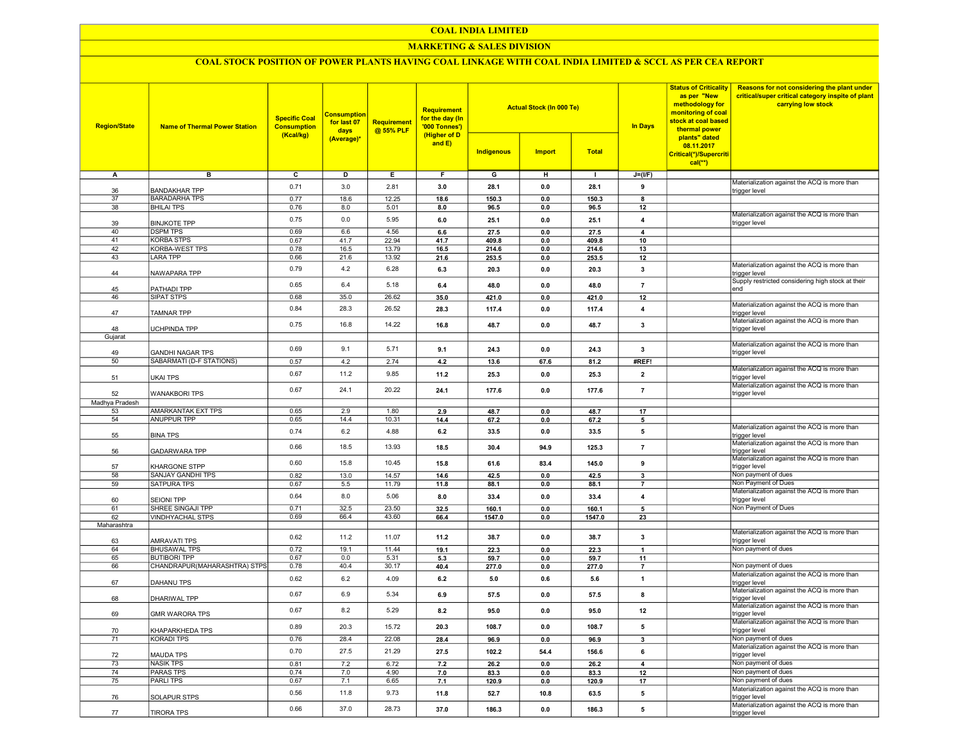## COAL INDIA LIMITED

# MARKETING & SALES DIVISION

# COAL STOCK POSITION OF POWER PLANTS HAVING COAL LINKAGE WITH COAL INDIA LIMITED & SCCL AS PER CEA REPORT

| <b>Region/State</b>  | <b>Name of Thermal Power Station</b>         | <b>Specific Coal</b><br><b>Consumption</b><br>(Kcal/kg) | <b>Consumption</b><br>for last 07<br>days<br>(Average)* | <b>Requirement</b><br>@ 55% PLF | <b>Requirement</b><br>for the day (In<br>'000 Tonnes')<br>(Higher of D<br>and E) | <b>Actual Stock (In 000 Te)</b><br><b>Total</b><br><b>Indigenous</b><br><b>Import</b> |                |                | <b>In Days</b>          | <b>Status of Criticality</b><br>as per "New<br>methodology for<br>monitoring of coal<br>stock at coal based<br>thermal power<br>plants" dated<br>08.11.2017<br>Critical(*)/Supercriti<br>$cal(**)$ | Reasons for not considering the plant under<br>critical/super critical category inspite of plant<br>carrying low stock |
|----------------------|----------------------------------------------|---------------------------------------------------------|---------------------------------------------------------|---------------------------------|----------------------------------------------------------------------------------|---------------------------------------------------------------------------------------|----------------|----------------|-------------------------|----------------------------------------------------------------------------------------------------------------------------------------------------------------------------------------------------|------------------------------------------------------------------------------------------------------------------------|
| Α                    | в                                            | $\overline{c}$                                          | $\overline{D}$                                          | E                               | F                                                                                | G                                                                                     | н              | $\mathbf{I}$   | $J=(I/F)$               |                                                                                                                                                                                                    |                                                                                                                        |
|                      |                                              | 0.71                                                    | 3.0                                                     | 2.81                            | 3.0                                                                              | 28.1                                                                                  | 0.0            | 28.1           | 9                       |                                                                                                                                                                                                    | Materialization against the ACQ is more than                                                                           |
| 36<br>37             | <b>BANDAKHAR TPP</b><br><b>BARADARHA TPS</b> | 0.77                                                    | 18.6                                                    | 12.25                           | 18.6                                                                             | 150.3                                                                                 | 0.0            | 150.3          | 8                       |                                                                                                                                                                                                    | trigger level                                                                                                          |
| 38                   | <b>BHILAI TPS</b>                            | 0.76                                                    | 8.0                                                     | 5.01                            | 8.0                                                                              | 96.5                                                                                  | 0.0            | 96.5           | 12                      |                                                                                                                                                                                                    |                                                                                                                        |
|                      |                                              |                                                         |                                                         |                                 |                                                                                  |                                                                                       |                |                |                         |                                                                                                                                                                                                    | Materialization against the ACQ is more than                                                                           |
| 39                   | <b>BINJKOTE TPP</b>                          | 0.75                                                    | 0.0                                                     | 5.95                            | 6.0                                                                              | 25.1                                                                                  | 0.0            | 25.1           | 4                       |                                                                                                                                                                                                    | trigger level                                                                                                          |
| 40                   | <b>DSPM TPS</b>                              | 0.69                                                    | 6.6                                                     | 4.56                            | 6.6                                                                              | 27.5                                                                                  | 0.0            | 27.5           | $\overline{\mathbf{A}}$ |                                                                                                                                                                                                    |                                                                                                                        |
| 41                   | <b>KORBA STPS</b>                            | 0.67                                                    | 41.7                                                    | 22.94                           | 41.7                                                                             | 409.8                                                                                 | 0.0            | 409.8          | 10                      |                                                                                                                                                                                                    |                                                                                                                        |
| 42<br>43             | KORBA-WEST TPS<br><b>LARA TPP</b>            | 0.78<br>0.66                                            | 16.5<br>21.6                                            | 13.79<br>13.92                  | 16.5<br>21.6                                                                     | 214.6<br>253.5                                                                        | 0.0<br>0.0     | 214.6<br>253.5 | 13<br>12                |                                                                                                                                                                                                    |                                                                                                                        |
|                      |                                              |                                                         |                                                         |                                 |                                                                                  |                                                                                       |                |                |                         |                                                                                                                                                                                                    | Materialization against the ACQ is more than                                                                           |
| 44                   | NAWAPARA TPP                                 | 0.79                                                    | 4.2                                                     | 6.28                            | 6.3                                                                              | 20.3                                                                                  | 0.0            | 20.3           | 3                       |                                                                                                                                                                                                    | trigger level                                                                                                          |
|                      |                                              | 0.65                                                    | 6.4                                                     | 5.18                            | 6.4                                                                              | 48.0                                                                                  | 0.0            | 48.0           | $\overline{7}$          |                                                                                                                                                                                                    | Supply restricted considering high stock at their                                                                      |
| 45                   | PATHADI TPP                                  | 0.68                                                    |                                                         |                                 |                                                                                  |                                                                                       |                |                |                         |                                                                                                                                                                                                    | end                                                                                                                    |
| 46                   | SIPAT STPS                                   |                                                         | 35.0                                                    | 26.62                           | 35.0                                                                             | 421.0                                                                                 | 0.0            | 421.0          | 12                      |                                                                                                                                                                                                    | Materialization against the ACQ is more than                                                                           |
| 47                   | TAMNAR TPP                                   | 0.84                                                    | 28.3                                                    | 26.52                           | 28.3                                                                             | 117.4                                                                                 | 0.0            | 117.4          | $\overline{4}$          |                                                                                                                                                                                                    | trigger level                                                                                                          |
|                      |                                              | 0.75                                                    | 16.8                                                    | 14.22                           | 16.8                                                                             | 48.7                                                                                  | 0.0            | 48.7           | 3                       |                                                                                                                                                                                                    | Materialization against the ACQ is more than                                                                           |
| 48                   | UCHPINDA TPP                                 |                                                         |                                                         |                                 |                                                                                  |                                                                                       |                |                |                         |                                                                                                                                                                                                    | trigger level                                                                                                          |
| Gujarat              |                                              |                                                         |                                                         |                                 |                                                                                  |                                                                                       |                |                |                         |                                                                                                                                                                                                    | Materialization against the ACQ is more than                                                                           |
| 49                   | <b>GANDHI NAGAR TPS</b>                      | 0.69                                                    | 9.1                                                     | 5.71                            | 9.1                                                                              | 24.3                                                                                  | 0.0            | 24.3           | $\overline{\mathbf{3}}$ |                                                                                                                                                                                                    | trigger level                                                                                                          |
| 50                   | SABARMATI (D-F STATIONS)                     | 0.57                                                    | 4.2                                                     | 2.74                            | 4.2                                                                              | 13.6                                                                                  | 67.6           | 81.2           | #REF!                   |                                                                                                                                                                                                    |                                                                                                                        |
|                      |                                              |                                                         |                                                         |                                 |                                                                                  |                                                                                       |                |                |                         |                                                                                                                                                                                                    | Materialization against the ACQ is more than                                                                           |
| 51                   | UKAI TPS                                     | 0.67                                                    | 11.2                                                    | 9.85                            | 11.2                                                                             | 25.3                                                                                  | 0.0            | 25.3           | $\overline{2}$          |                                                                                                                                                                                                    | trigger level                                                                                                          |
|                      |                                              | 0.67                                                    | 24.1                                                    | 20.22                           | 24.1                                                                             | 177.6                                                                                 | 0.0            | 177.6          | $\overline{7}$          |                                                                                                                                                                                                    | Materialization against the ACQ is more than                                                                           |
| 52<br>Madhya Pradesh | <b>WANAKBORI TPS</b>                         |                                                         |                                                         |                                 |                                                                                  |                                                                                       |                |                |                         |                                                                                                                                                                                                    | trigger level                                                                                                          |
| 53                   | <b>AMARKANTAK EXT TPS</b>                    | 0.65                                                    | 2.9                                                     | 1.80                            | 2.9                                                                              | 48.7                                                                                  | 0.0            | 48.7           | 17                      |                                                                                                                                                                                                    |                                                                                                                        |
| 54                   | <b>ANUPPUR TPP</b>                           | 0.65                                                    | 14.4                                                    | 10.31                           | 14.4                                                                             | 67.2                                                                                  | 0.0            | 67.2           | 5                       |                                                                                                                                                                                                    |                                                                                                                        |
|                      |                                              | 0.74                                                    | 6.2                                                     | 4.88                            | 6.2                                                                              | 33.5                                                                                  | 0.0            | 33.5           | 5                       |                                                                                                                                                                                                    | Materialization against the ACQ is more than                                                                           |
| 55                   | <b>BINA TPS</b>                              |                                                         |                                                         |                                 |                                                                                  |                                                                                       |                |                |                         |                                                                                                                                                                                                    | trigger level                                                                                                          |
| 56                   | <b>GADARWARA TPP</b>                         | 0.66                                                    | 18.5                                                    | 13.93                           | 18.5                                                                             | 30.4                                                                                  | 94.9           | 125.3          | 7                       |                                                                                                                                                                                                    | Materialization against the ACQ is more than<br>trigger level                                                          |
|                      |                                              |                                                         |                                                         |                                 |                                                                                  |                                                                                       |                |                |                         |                                                                                                                                                                                                    | Materialization against the ACQ is more than                                                                           |
| 57                   | <b>KHARGONE STPP</b>                         | 0.60                                                    | 15.8                                                    | 10.45                           | 15.8                                                                             | 61.6                                                                                  | 83.4           | 145.0          | 9                       |                                                                                                                                                                                                    | trigger level                                                                                                          |
| 58                   | SANJAY GANDHI TPS                            | 0.82                                                    | 13.0                                                    | 14.57                           | 14.6                                                                             | 42.5                                                                                  | 0.0            | 42.5           | 3                       |                                                                                                                                                                                                    | Non payment of dues                                                                                                    |
| 59                   | SATPURA TPS                                  | 0.67                                                    | 5.5                                                     | 11.79                           | 11.8                                                                             | 88.1                                                                                  | 0.0            | 88.1           | $\overline{7}$          |                                                                                                                                                                                                    | Non Payment of Dues                                                                                                    |
| 60                   | <b>SEIONI TPP</b>                            | 0.64                                                    | 8.0                                                     | 5.06                            | 8.0                                                                              | 33.4                                                                                  | 0.0            | 33.4           | 4                       |                                                                                                                                                                                                    | Materialization against the ACQ is more than<br>trigger level                                                          |
| 61                   | SHREE SINGAJI TPP                            | 0.71                                                    | 32.5                                                    | 23.50                           | 32.5                                                                             | 160.1                                                                                 | 0.0            | 160.1          | 5                       |                                                                                                                                                                                                    | Non Payment of Dues                                                                                                    |
| 62                   | VINDHYACHAL STPS                             | 0.69                                                    | 66.4                                                    | 43.60                           | 66.4                                                                             | 1547.0                                                                                | 0.0            | 1547.0         | 23                      |                                                                                                                                                                                                    |                                                                                                                        |
| Maharashtra          |                                              |                                                         |                                                         |                                 |                                                                                  |                                                                                       |                |                |                         |                                                                                                                                                                                                    |                                                                                                                        |
|                      |                                              | 0.62                                                    | 11.2                                                    | 11.07                           | 11.2                                                                             | 38.7                                                                                  | 0.0            | 38.7           | $\overline{\mathbf{3}}$ |                                                                                                                                                                                                    | Materialization against the ACQ is more than                                                                           |
| 63<br>64             | AMRAVATI TPS<br><b>BHUSAWAL TPS</b>          | 0.72                                                    | 19.1                                                    | 11.44                           |                                                                                  | 22.3                                                                                  |                |                |                         |                                                                                                                                                                                                    | trigger level<br>Non payment of dues                                                                                   |
| 65                   | <b>BUTIBORI TPP</b>                          | 0.67                                                    | 0.0                                                     | 5.31                            | 19.1<br>5.3                                                                      | 59.7                                                                                  | $0.0\,$<br>0.0 | 22.3<br>59.7   | $\mathbf{1}$<br>11      |                                                                                                                                                                                                    |                                                                                                                        |
| 66                   | CHANDRAPUR(MAHARASHTRA) STPS                 | 0.78                                                    | 40.4                                                    | 30.17                           | 40.4                                                                             | 277.0                                                                                 | 0.0            | 277.0          | $\overline{7}$          |                                                                                                                                                                                                    | Non payment of dues                                                                                                    |
|                      |                                              | 0.62                                                    | 6.2                                                     | 4.09                            |                                                                                  |                                                                                       |                |                |                         |                                                                                                                                                                                                    | Materialization against the ACQ is more than                                                                           |
| 67                   | DAHANU TPS                                   |                                                         |                                                         |                                 | 6.2                                                                              | 5.0                                                                                   | 0.6            | 5.6            | $\mathbf{1}$            |                                                                                                                                                                                                    | trigger level                                                                                                          |
| 68                   | <b>DHARIWAL TPP</b>                          | 0.67                                                    | 6.9                                                     | 5.34                            | 6.9                                                                              | 57.5                                                                                  | 0.0            | 57.5           | 8                       |                                                                                                                                                                                                    | Materialization against the ACQ is more than                                                                           |
|                      |                                              |                                                         |                                                         |                                 |                                                                                  |                                                                                       |                |                |                         |                                                                                                                                                                                                    | trigger level<br>Materialization against the ACQ is more than                                                          |
| 69                   | <b>GMR WARORA TPS</b>                        | 0.67                                                    | 8.2                                                     | 5.29                            | 8.2                                                                              | 95.0                                                                                  | 0.0            | 95.0           | 12                      |                                                                                                                                                                                                    | trigger level                                                                                                          |
|                      |                                              | 0.89                                                    | 20.3                                                    | 15.72                           | 20.3                                                                             |                                                                                       |                | 108.7          | 5                       |                                                                                                                                                                                                    | Materialization against the ACQ is more than                                                                           |
| 70                   | KHAPARKHEDA TPS                              |                                                         |                                                         |                                 |                                                                                  | 108.7                                                                                 | 0.0            |                |                         |                                                                                                                                                                                                    | trigger level                                                                                                          |
| 71                   | <b>KORADI TPS</b>                            | 0.76                                                    | 28.4                                                    | 22.08                           | 28.4                                                                             | 96.9                                                                                  | 0.0            | 96.9           | 3                       |                                                                                                                                                                                                    | Non payment of dues<br>Materialization against the ACQ is more than                                                    |
| 72                   | MAUDA TPS                                    | 0.70                                                    | 27.5                                                    | 21.29                           | 27.5                                                                             | 102.2                                                                                 | 54.4           | 156.6          | 6                       |                                                                                                                                                                                                    | trigger level                                                                                                          |
| 73                   | <b>NASIK TPS</b>                             | 0.81                                                    | 7.2                                                     | 6.72                            | 7.2                                                                              | 26.2                                                                                  | 0.0            | 26.2           | $\overline{4}$          |                                                                                                                                                                                                    | Non payment of dues                                                                                                    |
| 74                   | <b>PARAS TPS</b>                             | 0.74                                                    | 7.0                                                     | 4.90                            | 7.0                                                                              | 83.3                                                                                  | 0.0            | 83.3           | 12                      |                                                                                                                                                                                                    | Non payment of dues                                                                                                    |
| 75                   | PARLI TPS                                    | 0.67                                                    | 7.1                                                     | 6.65                            | 7.1                                                                              | 120.9                                                                                 | 0.0            | 120.9          | 17                      |                                                                                                                                                                                                    | Non payment of dues                                                                                                    |
|                      |                                              | 0.56                                                    | 11.8                                                    | 9.73                            | 11.8                                                                             | 52.7                                                                                  | 10.8           | 63.5           | 5                       |                                                                                                                                                                                                    | Materialization against the ACQ is more than                                                                           |
| 76                   | SOLAPUR STPS                                 |                                                         |                                                         |                                 |                                                                                  |                                                                                       |                |                |                         |                                                                                                                                                                                                    | trigger level<br>Materialization against the ACQ is more than                                                          |
| 77                   | TIRORA TPS                                   | 0.66                                                    | 37.0                                                    | 28.73                           | 37.0                                                                             | 186.3                                                                                 | 0.0            | 186.3          | 5                       |                                                                                                                                                                                                    | trigger level                                                                                                          |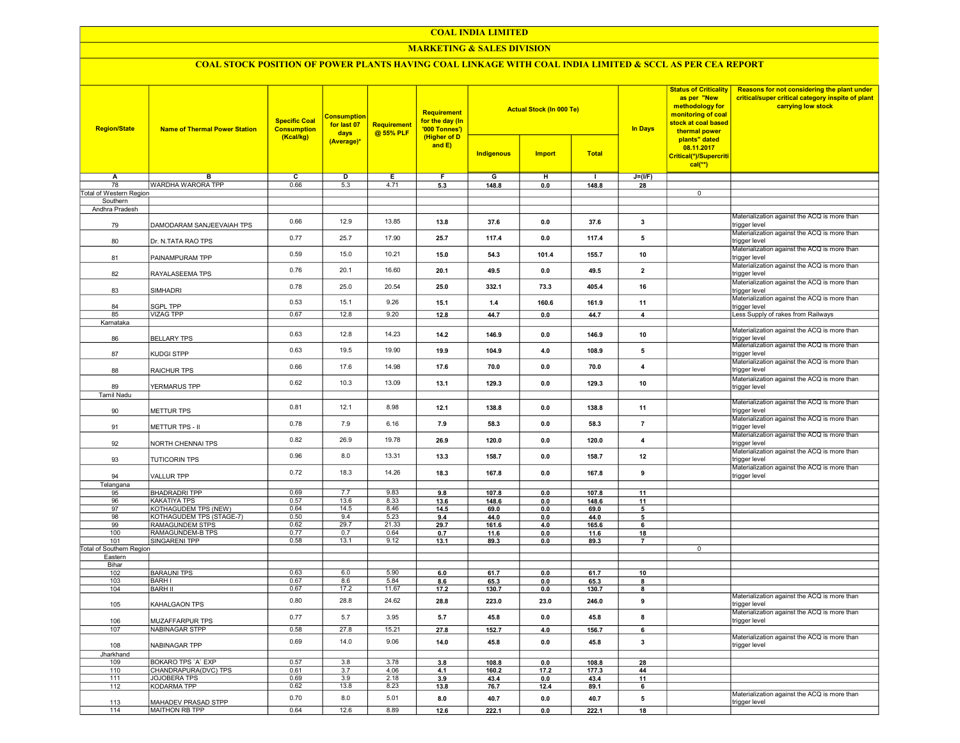#### COAL INDIA LIMITED

## **MARKETING & SALES DIVISION**

# COAL STOCK POSITION OF POWER PLANTS HAVING COAL LINKAGE WITH COAL INDIA LIMITED & SCCL AS PER CEA REPORT

| <b>Region/State</b>      | <b>Name of Thermal Power Station</b> | <b>Specific Coal</b><br><b>Consumption</b><br>(Kcal/kg) | <b>Consumption</b><br>for last 07<br>days | Requirement<br>@ 55% PLF | <b>Requirement</b><br>for the day (In<br>'000 Tonnes')<br>(Higher of D<br>and $E$ ) |            | <b>Actual Stock (In 000 Te)</b> |              | <b>In Days</b>          | <b>Status of Criticality</b><br>as per "New<br>methodology for<br>monitoring of coal<br>stock at coal based<br>thermal power<br>plants" dated<br>08.11.2017<br>Critical(*)/Supercriti<br>$cal$ (**) | Reasons for not considering the plant under<br>critical/super critical category inspite of plant<br>carrying low stock |
|--------------------------|--------------------------------------|---------------------------------------------------------|-------------------------------------------|--------------------------|-------------------------------------------------------------------------------------|------------|---------------------------------|--------------|-------------------------|-----------------------------------------------------------------------------------------------------------------------------------------------------------------------------------------------------|------------------------------------------------------------------------------------------------------------------------|
|                          |                                      |                                                         | (Average)*                                |                          |                                                                                     | Indigenous | <b>Import</b>                   | <b>Total</b> |                         |                                                                                                                                                                                                     |                                                                                                                        |
| A                        | в                                    | $\overline{\mathbf{c}}$                                 | $\overline{D}$                            | Е                        | F                                                                                   | G          | H                               | $\mathbf{I}$ | $J=(VF)$                |                                                                                                                                                                                                     |                                                                                                                        |
| 78                       | <b>WARDHA WARORA TPP</b>             | 0.66                                                    | 5.3                                       | 4.71                     | 5.3                                                                                 | 148.8      | 0.0                             | 148.8        | 28                      |                                                                                                                                                                                                     |                                                                                                                        |
| Total of Western Region  |                                      |                                                         |                                           |                          |                                                                                     |            |                                 |              |                         | $\overline{0}$                                                                                                                                                                                      |                                                                                                                        |
| Southern                 |                                      |                                                         |                                           |                          |                                                                                     |            |                                 |              |                         |                                                                                                                                                                                                     |                                                                                                                        |
| Andhra Pradesh<br>79     | DAMODARAM SANJEEVAIAH TPS            | 0.66                                                    | 12.9                                      | 13.85                    | 13.8                                                                                | 37.6       | 0.0                             | 37.6         | 3                       |                                                                                                                                                                                                     | Materialization against the ACQ is more than<br>trigger level                                                          |
| 80                       | Dr. N.TATA RAO TPS                   | 0.77                                                    | 25.7                                      | 17.90                    | 25.7                                                                                | 117.4      | 0.0                             | 117.4        | 5                       |                                                                                                                                                                                                     | Materialization against the ACQ is more than<br>trigger level                                                          |
| 81                       | PAINAMPURAM TPP                      | 0.59                                                    | 15.0                                      | 10.21                    | 15.0                                                                                | 54.3       | 101.4                           | 155.7        | 10                      |                                                                                                                                                                                                     | Materialization against the ACQ is more than<br>trigger level                                                          |
| 82                       | RAYALASEEMA TPS                      | 0.76                                                    | 20.1                                      | 16.60                    | 20.1                                                                                | 49.5       | 0.0                             | 49.5         | $\mathbf{2}$            |                                                                                                                                                                                                     | Materialization against the ACQ is more than<br>trigger level                                                          |
| 83                       | SIMHADRI                             | 0.78                                                    | 25.0                                      | 20.54                    | 25.0                                                                                | 332.1      | 73.3                            | 405.4        | 16                      |                                                                                                                                                                                                     | Materialization against the ACQ is more than<br>trigger level<br>Materialization against the ACQ is more than          |
| 84                       | <b>SGPL TPP</b>                      | 0.53                                                    | 15.1                                      | 9.26                     | 15.1                                                                                | 1.4        | 160.6                           | 161.9        | 11                      |                                                                                                                                                                                                     | trigger level                                                                                                          |
| 85                       | <b>VIZAG TPP</b>                     | 0.67                                                    | 12.8                                      | 9.20                     | 12.8                                                                                | 44.7       | 0.0                             | 44.7         | $\overline{\mathbf{4}}$ |                                                                                                                                                                                                     | Less Supply of rakes from Railways                                                                                     |
| Karnataka                |                                      | 0.63                                                    | 12.8                                      | 14.23                    | 14.2                                                                                | 146.9      | 0.0                             | 146.9        | 10                      |                                                                                                                                                                                                     | Materialization against the ACQ is more than                                                                           |
| 86                       | <b>BELLARY TPS</b>                   | 0.63                                                    | 19.5                                      | 19.90                    | 19.9                                                                                | 104.9      | 4.0                             | 108.9        | 5                       |                                                                                                                                                                                                     | trigger level<br>Materialization against the ACQ is more than                                                          |
| 87                       | <b>KUDGI STPP</b>                    | 0.66                                                    | 17.6                                      | 14.98                    | 17.6                                                                                | 70.0       | 0.0                             | 70.0         | $\overline{4}$          |                                                                                                                                                                                                     | trigger level<br>Materialization against the ACQ is more than<br>trigger level                                         |
| 88<br>89                 | RAICHUR TPS                          | 0.62                                                    | 10.3                                      | 13.09                    | 13.1                                                                                | 129.3      | 0.0                             | 129.3        | 10                      |                                                                                                                                                                                                     | Materialization against the ACQ is more than                                                                           |
| <b>Tamil Nadu</b>        | YERMARUS TPP                         |                                                         |                                           |                          |                                                                                     |            |                                 |              |                         |                                                                                                                                                                                                     | trigger level                                                                                                          |
| 90                       | <b>METTUR TPS</b>                    | 0.81                                                    | 12.1                                      | 8.98                     | 12.1                                                                                | 138.8      | 0.0                             | 138.8        | 11                      |                                                                                                                                                                                                     | Materialization against the ACQ is more than<br>trigger level<br>Materialization against the ACQ is more than          |
| 91                       | METTUR TPS - II                      | 0.78                                                    | 7.9                                       | 6.16                     | 7.9                                                                                 | 58.3       | 0.0                             | 58.3         | $\overline{\mathbf{r}}$ |                                                                                                                                                                                                     | trigger level<br>Materialization against the ACQ is more than                                                          |
| 92                       | NORTH CHENNAI TPS                    | 0.82                                                    | 26.9                                      | 19.78                    | 26.9                                                                                | 120.0      | 0.0                             | 120.0        | 4                       |                                                                                                                                                                                                     | trigger level<br>Materialization against the ACQ is more than                                                          |
| 93                       | <b>TUTICORIN TPS</b>                 | 0.96                                                    | 8.0                                       | 13.31                    | 13.3                                                                                | 158.7      | 0.0                             | 158.7        | 12                      |                                                                                                                                                                                                     | trigger level<br>Materialization against the ACQ is more than                                                          |
| 94<br>Telangana          | <b>VALLUR TPP</b>                    | 0.72                                                    | 18.3                                      | 14.26                    | 18.3                                                                                | 167.8      | 0.0                             | 167.8        | 9                       |                                                                                                                                                                                                     | trigger level                                                                                                          |
| 95                       | <b>BHADRADRI TPP</b>                 | 0.69                                                    | 7.7                                       | 9.83                     | 9.8                                                                                 | 107.8      | 0.0                             | 107.8        | 11                      |                                                                                                                                                                                                     |                                                                                                                        |
| 96                       | <b>KAKATIYA TPS</b>                  | 0.57                                                    | 13.6                                      | 8.33                     | 13.6                                                                                | 148.6      | 0.0                             | 148.6        | 11                      |                                                                                                                                                                                                     |                                                                                                                        |
| 97                       | <b>KOTHAGUDEM TPS (NEW)</b>          | 0.64                                                    | 14.5                                      | 8.46                     | 14.5                                                                                | 69.0       | 0.0                             | 69.0         | 5                       |                                                                                                                                                                                                     |                                                                                                                        |
| 98                       | KOTHAGUDEM TPS (STAGE-7)             | 0.50                                                    | 9.4                                       | 5.23                     | 9.4                                                                                 | 44.0       | 0.0                             | 44.0         | 5                       |                                                                                                                                                                                                     |                                                                                                                        |
| 99                       | <b>RAMAGUNDEM STPS</b>               | 0.62                                                    | 29.7                                      | 21.33                    | 29.7                                                                                | 161.6      | 4.0                             | 165.6        | 6                       |                                                                                                                                                                                                     |                                                                                                                        |
| 100<br>101               | RAMAGUNDEM-B TPS<br>SINGARENI TPP    | 0.77<br>0.58                                            | 0.7<br>13.1                               | 0.64<br>9.12             | 0.7                                                                                 | 11.6       | 0.0<br>0.0                      | 11.6         | 18<br>$\overline{7}$    |                                                                                                                                                                                                     |                                                                                                                        |
| Total of Southern Region |                                      |                                                         |                                           |                          | 13.1                                                                                | 89.3       |                                 | 89.3         |                         | $\overline{0}$                                                                                                                                                                                      |                                                                                                                        |
| Eastern                  |                                      |                                                         |                                           |                          |                                                                                     |            |                                 |              |                         |                                                                                                                                                                                                     |                                                                                                                        |
| Bihar                    |                                      |                                                         |                                           |                          |                                                                                     |            |                                 |              |                         |                                                                                                                                                                                                     |                                                                                                                        |
| 102                      | <b>BARAUNI TPS</b>                   | 0.63                                                    | 6.0                                       | 5.90                     | 6.0                                                                                 | 61.7       | 0.0                             | 61.7         | 10                      |                                                                                                                                                                                                     |                                                                                                                        |
| 103                      | <b>BARH I</b>                        | 0.67                                                    | 8.6                                       | 5.84                     | 8.6                                                                                 | 65.3       | 0.0                             | 65.3         | 8                       |                                                                                                                                                                                                     |                                                                                                                        |
| 104                      | <b>BARH II</b>                       | 0.67                                                    | 17.2                                      | 11.67                    | 17.2                                                                                | 130.7      | 0.0                             | 130.7        | 8                       |                                                                                                                                                                                                     |                                                                                                                        |
| 105                      | KAHALGAON TPS                        | 0.80                                                    | 28.8                                      | 24.62                    | 28.8                                                                                | 223.0      | 23.0                            | 246.0        | 9                       |                                                                                                                                                                                                     | Materialization against the ACQ is more than<br>trigger level                                                          |
| 106                      | MUZAFFARPUR TPS                      | 0.77                                                    | 5.7                                       | 3.95                     | 5.7                                                                                 | 45.8       | 0.0                             | 45.8         | 8                       |                                                                                                                                                                                                     | Materialization against the ACQ is more than<br>trigger level                                                          |
| 107                      | NABINAGAR STPP                       | 0.58                                                    | 27.8                                      | 15.21                    | 27.8                                                                                | 152.7      | 4.0                             | 156.7        | 6                       |                                                                                                                                                                                                     |                                                                                                                        |
| 108                      | NABINAGAR TPP                        | 0.69                                                    | 14.0                                      | 9.06                     | 14.0                                                                                | 45.8       | 0.0                             | 45.8         | 3                       |                                                                                                                                                                                                     | Materialization against the ACQ is more than<br>trigger level                                                          |
| Jharkhand<br>109         | BOKARO TPS 'A' EXP                   | 0.57                                                    | 3.8                                       | 3.78                     | 3.8                                                                                 | 108.8      | 0.0                             | 108.8        | 28                      |                                                                                                                                                                                                     |                                                                                                                        |
| 110                      | CHANDRAPURA(DVC) TPS                 | 0.61                                                    | 3.7                                       | 4.06                     | 4.1                                                                                 | 160.2      | 17.2                            | 177.3        | 44                      |                                                                                                                                                                                                     |                                                                                                                        |
| 111                      | <b>JOJOBERA TPS</b>                  | 0.69                                                    | 3.9                                       | 2.18                     | 3.9                                                                                 | 43.4       | 0.0                             | 43.4         | 11                      |                                                                                                                                                                                                     |                                                                                                                        |
| 112                      | <b>KODARMA TPP</b>                   | 0.62                                                    | 13.8                                      | 8.23                     | 13.8                                                                                | 76.7       | 12.4                            | 89.1         | 6                       |                                                                                                                                                                                                     |                                                                                                                        |
| 113                      | MAHADEV PRASAD STPP                  | 0.70                                                    | 8.0                                       | 5.01                     | 8.0                                                                                 | 40.7       | 0.0                             | 40.7         | 5                       |                                                                                                                                                                                                     | Materialization against the ACQ is more than<br>trigger level                                                          |
| 114                      | MAITHON RB TPP                       | 0.64                                                    | 12.6                                      | 8.89                     | 12.6                                                                                | 222.1      | 0.0                             | 222.1        | 18                      |                                                                                                                                                                                                     |                                                                                                                        |